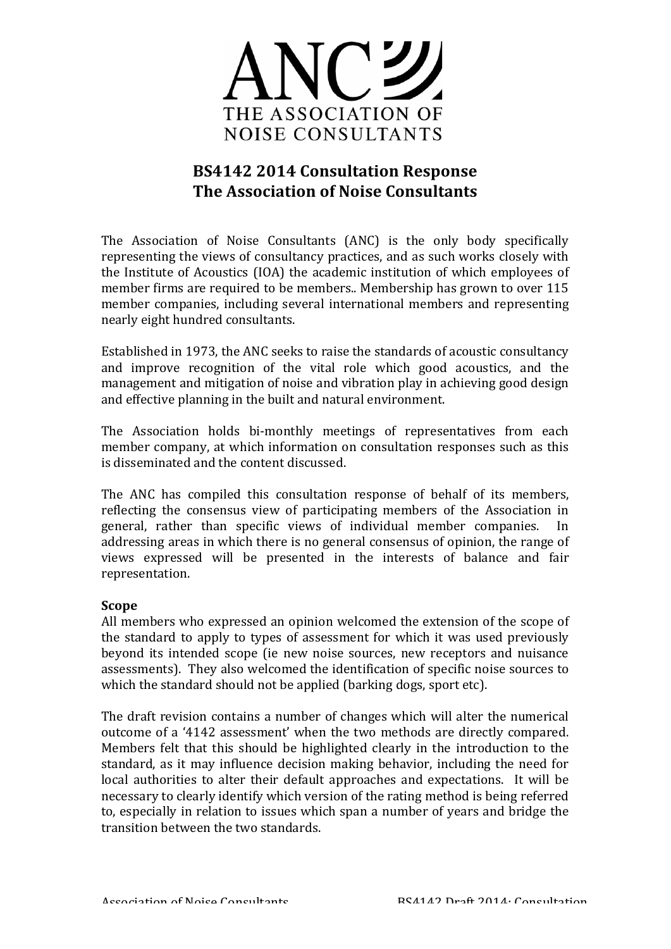

# **BS4142 2014 Consultation Response The Association of Noise Consultants**

The Association of Noise Consultants (ANC) is the only body specifically representing the views of consultancy practices, and as such works closely with the Institute of Acoustics (IOA) the academic institution of which employees of member firms are required to be members.. Membership has grown to over 115 member companies, including several international members and representing nearly eight hundred consultants.

Established in 1973, the ANC seeks to raise the standards of acoustic consultancy and improve recognition of the vital role which good acoustics, and the management and mitigation of noise and vibration play in achieving good design and effective planning in the built and natural environment.

The Association holds bi-monthly meetings of representatives from each member company, at which information on consultation responses such as this is disseminated and the content discussed.

The ANC has compiled this consultation response of behalf of its members, reflecting the consensus view of participating members of the Association in general, rather than specific views of individual member companies. In addressing areas in which there is no general consensus of opinion, the range of views expressed will be presented in the interests of balance and fair representation.

## **Scope**

All members who expressed an opinion welcomed the extension of the scope of the standard to apply to types of assessment for which it was used previously beyond its intended scope (ie new noise sources, new receptors and nuisance assessments). They also welcomed the identification of specific noise sources to which the standard should not be applied (barking dogs, sport etc).

The draft revision contains a number of changes which will alter the numerical outcome of a '4142 assessment' when the two methods are directly compared. Members felt that this should be highlighted clearly in the introduction to the standard, as it may influence decision making behavior, including the need for local authorities to alter their default approaches and expectations. It will be necessary to clearly identify which version of the rating method is being referred to, especially in relation to issues which span a number of years and bridge the transition between the two standards.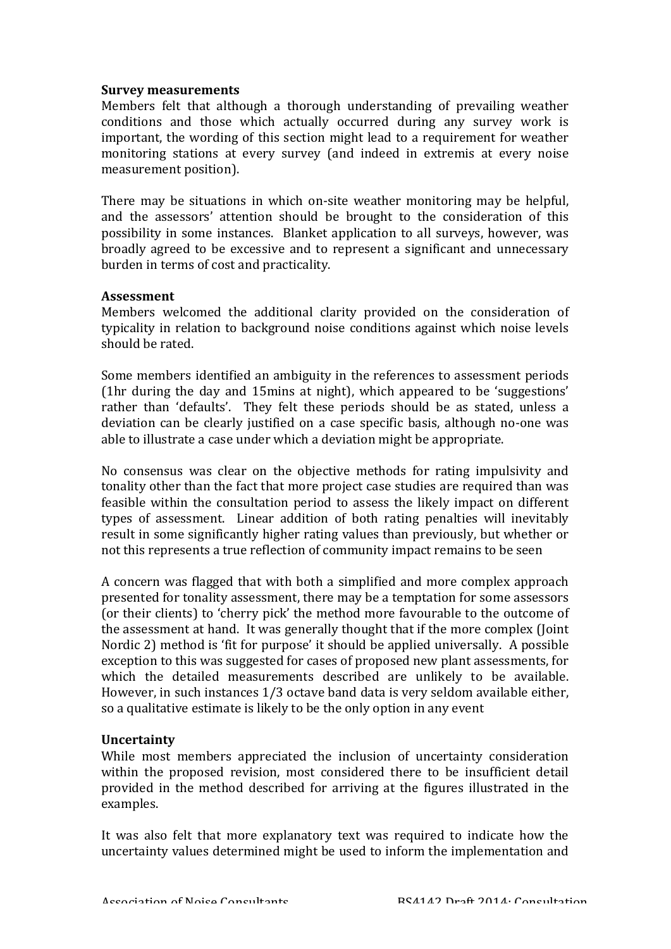### **Survey measurements**

Members felt that although a thorough understanding of prevailing weather conditions and those which actually occurred during any survey work is important, the wording of this section might lead to a requirement for weather monitoring stations at every survey (and indeed in extremis at every noise measurement position).

There may be situations in which on-site weather monitoring may be helpful, and the assessors' attention should be brought to the consideration of this possibility in some instances. Blanket application to all surveys, however, was broadly agreed to be excessive and to represent a significant and unnecessary burden in terms of cost and practicality.

#### **Assessment**

Members welcomed the additional clarity provided on the consideration of typicality in relation to background noise conditions against which noise levels should be rated.

Some members identified an ambiguity in the references to assessment periods ( $1$ hr during the day and  $15$ mins at night), which appeared to be 'suggestions' rather than 'defaults'. They felt these periods should be as stated, unless a deviation can be clearly justified on a case specific basis, although no-one was able to illustrate a case under which a deviation might be appropriate.

No consensus was clear on the objective methods for rating impulsivity and tonality other than the fact that more project case studies are required than was feasible within the consultation period to assess the likely impact on different types of assessment. Linear addition of both rating penalties will inevitably result in some significantly higher rating values than previously, but whether or not this represents a true reflection of community impact remains to be seen

A concern was flagged that with both a simplified and more complex approach presented for tonality assessment, there may be a temptation for some assessors (or their clients) to 'cherry pick' the method more favourable to the outcome of the assessment at hand. It was generally thought that if the more complex (Joint Nordic 2) method is 'fit for purpose' it should be applied universally. A possible exception to this was suggested for cases of proposed new plant assessments, for which the detailed measurements described are unlikely to be available. However, in such instances  $1/3$  octave band data is very seldom available either, so a qualitative estimate is likely to be the only option in any event

### **Uncertainty**

While most members appreciated the inclusion of uncertainty consideration within the proposed revision, most considered there to be insufficient detail provided in the method described for arriving at the figures illustrated in the examples.

It was also felt that more explanatory text was required to indicate how the uncertainty values determined might be used to inform the implementation and